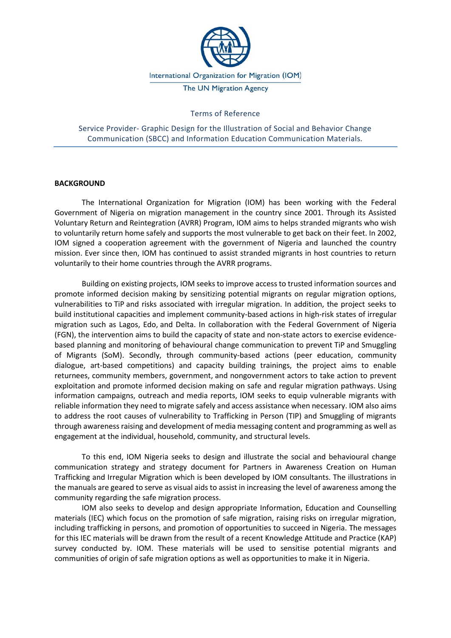

### Terms of Reference

Service Provider- Graphic Design for the Illustration of Social and Behavior Change Communication (SBCC) and Information Education Communication Materials.

#### **BACKGROUND**

The International Organization for Migration (IOM) has been working with the Federal Government of Nigeria on migration management in the country since 2001. Through its Assisted Voluntary Return and Reintegration (AVRR) Program, IOM aims to helps stranded migrants who wish to voluntarily return home safely and supports the most vulnerable to get back on their feet. In 2002, IOM signed a cooperation agreement with the government of Nigeria and launched the country mission. Ever since then, IOM has continued to assist stranded migrants in host countries to return voluntarily to their home countries through the AVRR programs.

Building on existing projects, IOM seeks to improve access to trusted information sources and promote informed decision making by sensitizing potential migrants on regular migration options, vulnerabilities to TiP and risks associated with irregular migration. In addition, the project seeks to build institutional capacities and implement community-based actions in high-risk states of irregular migration such as Lagos, Edo, and Delta. In collaboration with the Federal Government of Nigeria (FGN), the intervention aims to build the capacity of state and non-state actors to exercise evidencebased planning and monitoring of behavioural change communication to prevent TiP and Smuggling of Migrants (SoM). Secondly, through community-based actions (peer education, community dialogue, art-based competitions) and capacity building trainings, the project aims to enable returnees, community members, government, and nongovernment actors to take action to prevent exploitation and promote informed decision making on safe and regular migration pathways. Using information campaigns, outreach and media reports, IOM seeks to equip vulnerable migrants with reliable information they need to migrate safely and access assistance when necessary. IOM also aims to address the root causes of vulnerability to Trafficking in Person (TIP) and Smuggling of migrants through awareness raising and development of media messaging content and programming as well as engagement at the individual, household, community, and structural levels.

To this end, IOM Nigeria seeks to design and illustrate the social and behavioural change communication strategy and strategy document for Partners in Awareness Creation on Human Trafficking and Irregular Migration which is been developed by IOM consultants. The illustrations in the manuals are geared to serve as visual aids to assist in increasing the level of awareness among the community regarding the safe migration process.

IOM also seeks to develop and design appropriate Information, Education and Counselling materials (IEC) which focus on the promotion of safe migration, raising risks on irregular migration, including trafficking in persons, and promotion of opportunities to succeed in Nigeria. The messages for this IEC materials will be drawn from the result of a recent Knowledge Attitude and Practice (KAP) survey conducted by. IOM. These materials will be used to sensitise potential migrants and communities of origin of safe migration options as well as opportunities to make it in Nigeria.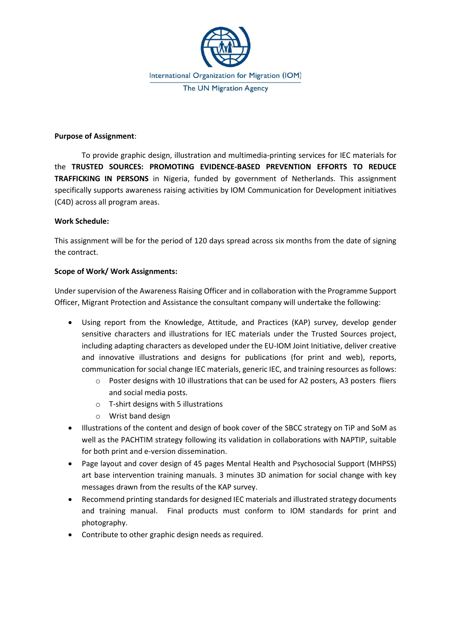

### **Purpose of Assignment**:

To provide graphic design, illustration and multimedia-printing services for IEC materials for the **TRUSTED SOURCES: PROMOTING EVIDENCE-BASED PREVENTION EFFORTS TO REDUCE TRAFFICKING IN PERSONS** in Nigeria, funded by government of Netherlands. This assignment specifically supports awareness raising activities by IOM Communication for Development initiatives (C4D) across all program areas.

# **Work Schedule:**

This assignment will be for the period of 120 days spread across six months from the date of signing the contract.

## **Scope of Work/ Work Assignments:**

Under supervision of the Awareness Raising Officer and in collaboration with the Programme Support Officer, Migrant Protection and Assistance the consultant company will undertake the following:

- Using report from the Knowledge, Attitude, and Practices (KAP) survey, develop gender sensitive characters and illustrations for IEC materials under the Trusted Sources project, including adapting characters as developed under the EU-IOM Joint Initiative, deliver creative and innovative illustrations and designs for publications (for print and web), reports, communication for social change IEC materials, generic IEC, and training resources as follows:
	- o Poster designs with 10 illustrations that can be used for A2 posters, A3 posters fliers and social media posts.
	- o T-shirt designs with 5 illustrations
	- o Wrist band design
- Illustrations of the content and design of book cover of the SBCC strategy on TiP and SoM as well as the PACHTIM strategy following its validation in collaborations with NAPTIP, suitable for both print and e-version dissemination.
- Page layout and cover design of 45 pages Mental Health and Psychosocial Support (MHPSS) art base intervention training manuals. 3 minutes 3D animation for social change with key messages drawn from the results of the KAP survey.
- Recommend printing standards for designed IEC materials and illustrated strategy documents and training manual. Final products must conform to IOM standards for print and photography.
- Contribute to other graphic design needs as required.